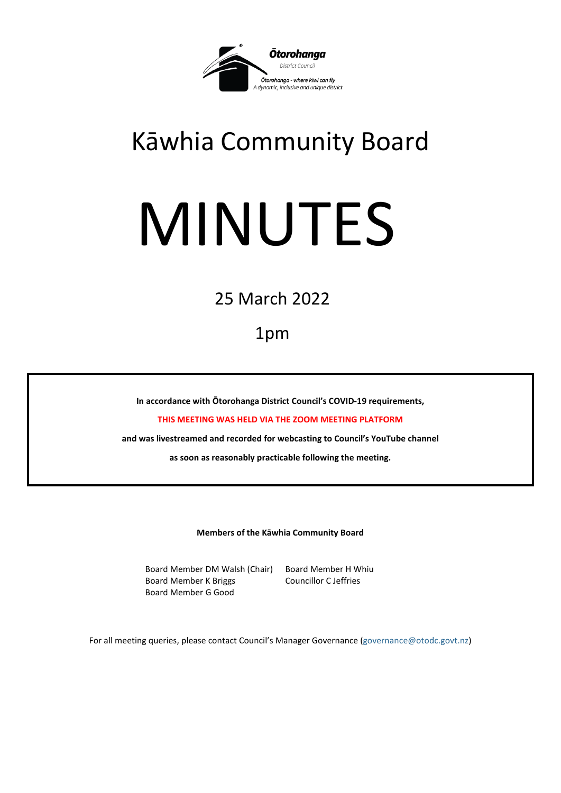

# Kāwhia Community Board

# MINUTES

25 March 2022

1pm

**In accordance with Ōtorohanga District Council's COVID-19 requirements,** 

**THIS MEETING WAS HELD VIA THE ZOOM MEETING PLATFORM**

**and was livestreamed and recorded for webcasting to Council's YouTube channel** 

**as soon as reasonably practicable following the meeting.**

**Members of the Kāwhia Community Board**

Board Member DM Walsh (Chair) Board Member H Whiu Board Member K Briggs Councillor C Jeffries Board Member G Good

For all meeting queries, please contact Council's Manager Governance [\(governance@otodc.govt.nz\)](mailto:governance@otodc.govt.nz)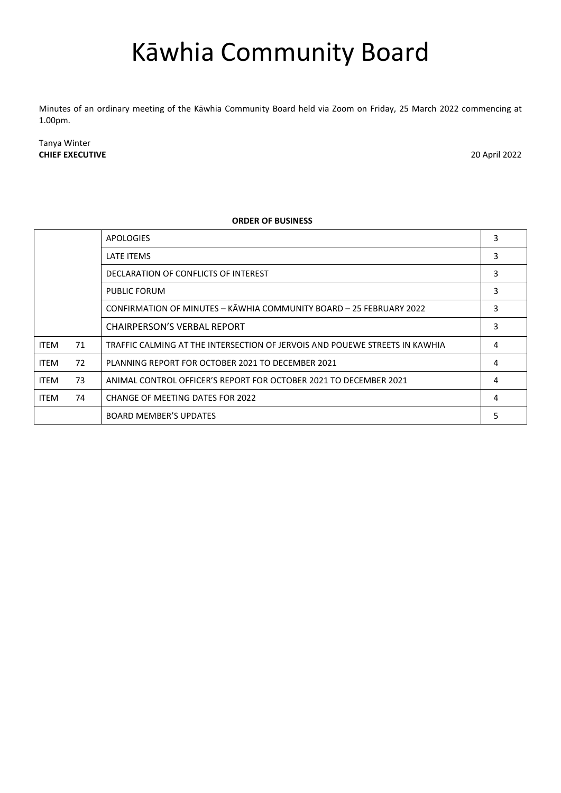# Kāwhia Community Board

Minutes of an ordinary meeting of the Kāwhia Community Board held via Zoom on Friday, 25 March 2022 commencing at 1.00pm.

Tanya Winter **CHIEF EXECUTIVE** 20 April 2022

## **ORDER OF BUSINESS**

|             |    | <b>APOLOGIES</b>                                                            | 3 |
|-------------|----|-----------------------------------------------------------------------------|---|
|             |    | LATE ITEMS                                                                  | 3 |
|             |    | DECLARATION OF CONFLICTS OF INTEREST                                        | 3 |
|             |    | PUBLIC FORUM                                                                | 3 |
|             |    | CONFIRMATION OF MINUTES - KAWHIA COMMUNITY BOARD - 25 FEBRUARY 2022         | 3 |
|             |    | <b>CHAIRPERSON'S VERBAL REPORT</b>                                          | 3 |
| <b>ITEM</b> | 71 | TRAFFIC CALMING AT THE INTERSECTION OF JERVOIS AND POUEWE STREETS IN KAWHIA | 4 |
| <b>ITEM</b> | 72 | PLANNING REPORT FOR OCTOBER 2021 TO DECEMBER 2021                           | 4 |
| <b>ITEM</b> | 73 | ANIMAL CONTROL OFFICER'S REPORT FOR OCTOBER 2021 TO DECEMBER 2021           | 4 |
| <b>ITEM</b> | 74 | CHANGE OF MEETING DATES FOR 2022                                            | 4 |
|             |    | <b>BOARD MEMBER'S UPDATES</b>                                               | 5 |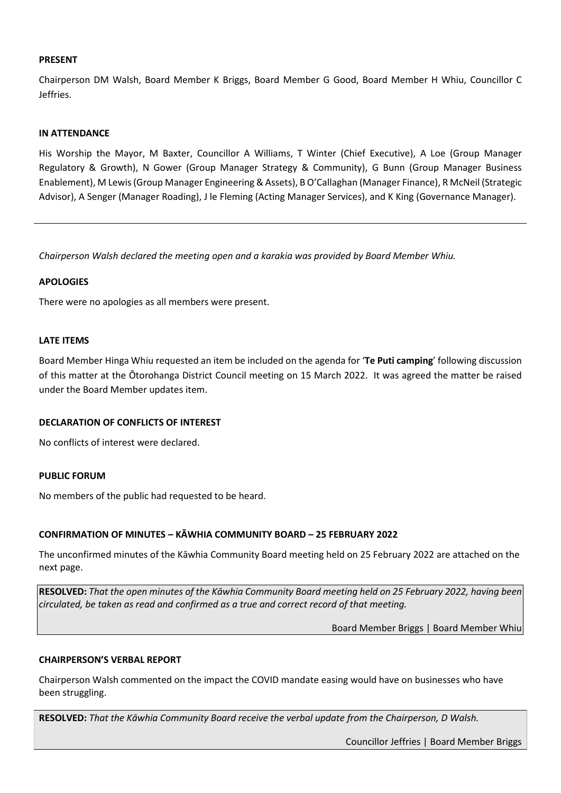# **PRESENT**

Chairperson DM Walsh, Board Member K Briggs, Board Member G Good, Board Member H Whiu, Councillor C Jeffries.

# **IN ATTENDANCE**

His Worship the Mayor, M Baxter, Councillor A Williams, T Winter (Chief Executive), A Loe (Group Manager Regulatory & Growth), N Gower (Group Manager Strategy & Community), G Bunn (Group Manager Business Enablement), M Lewis (Group Manager Engineering & Assets), B O'Callaghan (Manager Finance), R McNeil (Strategic Advisor), A Senger (Manager Roading), J le Fleming (Acting Manager Services), and K King (Governance Manager).

*Chairperson Walsh declared the meeting open and a karakia was provided by Board Member Whiu.*

# <span id="page-2-0"></span>**APOLOGIES**

There were no apologies as all members were present.

#### <span id="page-2-1"></span>**LATE ITEMS**

Board Member Hinga Whiu requested an item be included on the agenda for '**Te Puti camping**' following discussion of this matter at the Ōtorohanga District Council meeting on 15 March 2022. It was agreed the matter be raised under the Board Member updates item.

#### <span id="page-2-2"></span>**DECLARATION OF CONFLICTS OF INTEREST**

No conflicts of interest were declared.

#### <span id="page-2-3"></span>**PUBLIC FORUM**

No members of the public had requested to be heard.

# <span id="page-2-4"></span>**CONFIRMATION OF MINUTES – KĀWHIA COMMUNITY BOARD – 25 FEBRUARY 2022**

The unconfirmed minutes of the Kāwhia Community Board meeting held on 25 February 2022 are attached on the next page.

**RESOLVED:** *That the open minutes of the Kāwhia Community Board meeting held on 25 February 2022, having been circulated, be taken as read and confirmed as a true and correct record of that meeting.*

Board Member Briggs | Board Member Whiu

#### <span id="page-2-5"></span>**CHAIRPERSON'S VERBAL REPORT**

Chairperson Walsh commented on the impact the COVID mandate easing would have on businesses who have been struggling.

**RESOLVED:** *That the Kāwhia Community Board receive the verbal update from the Chairperson, D Walsh.*

Councillor Jeffries | Board Member Briggs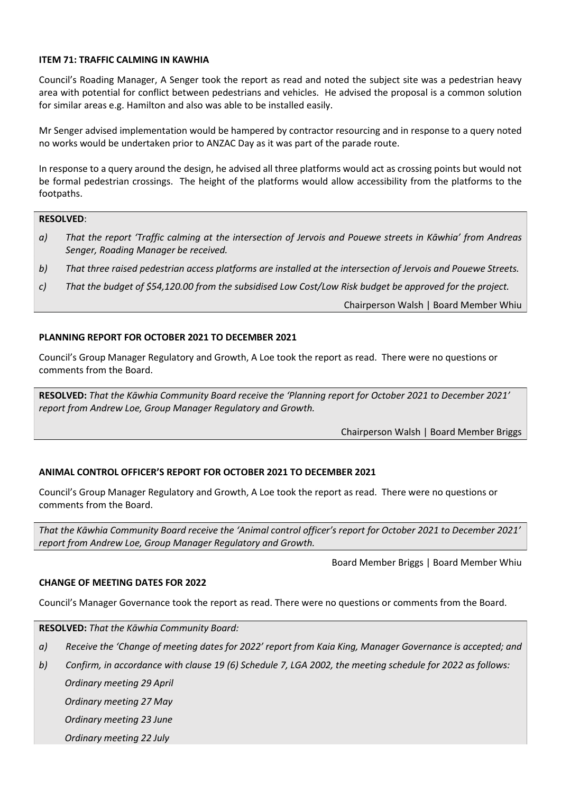# <span id="page-3-0"></span>**ITEM 71: TRAFFIC CALMING IN KAWHIA**

Council's Roading Manager, A Senger took the report as read and noted the subject site was a pedestrian heavy area with potential for conflict between pedestrians and vehicles. He advised the proposal is a common solution for similar areas e.g. Hamilton and also was able to be installed easily.

Mr Senger advised implementation would be hampered by contractor resourcing and in response to a query noted no works would be undertaken prior to ANZAC Day as it was part of the parade route.

In response to a query around the design, he advised all three platforms would act as crossing points but would not be formal pedestrian crossings. The height of the platforms would allow accessibility from the platforms to the footpaths.

# **RESOLVED**:

- *a) That the report 'Traffic calming at the intersection of Jervois and Pouewe streets in Kāwhia' from Andreas Senger, Roading Manager be received.*
- *b) That three raised pedestrian access platforms are installed at the intersection of Jervois and Pouewe Streets.*
- *c) That the budget of \$54,120.00 from the subsidised Low Cost/Low Risk budget be approved for the project.*

Chairperson Walsh | Board Member Whiu

# <span id="page-3-1"></span>**PLANNING REPORT FOR OCTOBER 2021 TO DECEMBER 2021**

Council's Group Manager Regulatory and Growth, A Loe took the report as read. There were no questions or comments from the Board.

**RESOLVED:** *That the Kāwhia Community Board receive the 'Planning report for October 2021 to December 2021' report from Andrew Loe, Group Manager Regulatory and Growth.*

Chairperson Walsh | Board Member Briggs

# <span id="page-3-2"></span>**ANIMAL CONTROL OFFICER'S REPORT FOR OCTOBER 2021 TO DECEMBER 2021**

Council's Group Manager Regulatory and Growth, A Loe took the report as read. There were no questions or comments from the Board.

*That the Kāwhia Community Board receive the 'Animal control officer's report for October 2021 to December 2021' report from Andrew Loe, Group Manager Regulatory and Growth.*

Board Member Briggs | Board Member Whiu

# <span id="page-3-3"></span>**CHANGE OF MEETING DATES FOR 2022**

Council's Manager Governance took the report as read. There were no questions or comments from the Board.

**RESOLVED:** *That the Kāwhia Community Board:* 

- *a) Receive the 'Change of meeting dates for 2022' report from Kaia King, Manager Governance is accepted; and*
- *b) Confirm, in accordance with clause 19 (6) Schedule 7, LGA 2002, the meeting schedule for 2022 as follows: Ordinary meeting 29 April*

 *Ordinary meeting 27 May*

 *Ordinary meeting 23 June*

 *Ordinary meeting 22 July*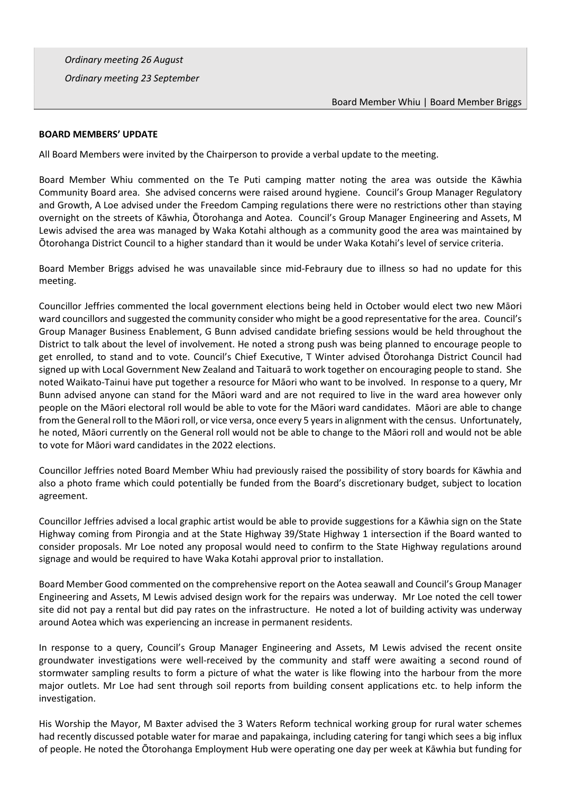*Ordinary meeting 26 August*

 *Ordinary meeting 23 September*

# <span id="page-4-0"></span>**BOARD MEMBERS' UPDATE**

All Board Members were invited by the Chairperson to provide a verbal update to the meeting.

Board Member Whiu commented on the Te Puti camping matter noting the area was outside the Kāwhia Community Board area. She advised concerns were raised around hygiene. Council's Group Manager Regulatory and Growth, A Loe advised under the Freedom Camping regulations there were no restrictions other than staying overnight on the streets of Kāwhia, Ōtorohanga and Aotea. Council's Group Manager Engineering and Assets, M Lewis advised the area was managed by Waka Kotahi although as a community good the area was maintained by Ōtorohanga District Council to a higher standard than it would be under Waka Kotahi's level of service criteria.

Board Member Briggs advised he was unavailable since mid-Febraury due to illness so had no update for this meeting.

Councillor Jeffries commented the local government elections being held in October would elect two new Māori ward councillors and suggested the community consider who might be a good representative for the area. Council's Group Manager Business Enablement, G Bunn advised candidate briefing sessions would be held throughout the District to talk about the level of involvement. He noted a strong push was being planned to encourage people to get enrolled, to stand and to vote. Council's Chief Executive, T Winter advised Ōtorohanga District Council had signed up with Local Government New Zealand and Taituarā to work together on encouraging people to stand. She noted Waikato-Tainui have put together a resource for Māori who want to be involved. In response to a query, Mr Bunn advised anyone can stand for the Māori ward and are not required to live in the ward area however only people on the Māori electoral roll would be able to vote for the Māori ward candidates. Māori are able to change from the General roll to the Māori roll, or vice versa, once every 5 years in alignment with the census. Unfortunately, he noted, Māori currently on the General roll would not be able to change to the Māori roll and would not be able to vote for Māori ward candidates in the 2022 elections.

Councillor Jeffries noted Board Member Whiu had previously raised the possibility of story boards for Kāwhia and also a photo frame which could potentially be funded from the Board's discretionary budget, subject to location agreement.

Councillor Jeffries advised a local graphic artist would be able to provide suggestions for a Kāwhia sign on the State Highway coming from Pirongia and at the State Highway 39/State Highway 1 intersection if the Board wanted to consider proposals. Mr Loe noted any proposal would need to confirm to the State Highway regulations around signage and would be required to have Waka Kotahi approval prior to installation.

Board Member Good commented on the comprehensive report on the Aotea seawall and Council's Group Manager Engineering and Assets, M Lewis advised design work for the repairs was underway. Mr Loe noted the cell tower site did not pay a rental but did pay rates on the infrastructure. He noted a lot of building activity was underway around Aotea which was experiencing an increase in permanent residents.

In response to a query, Council's Group Manager Engineering and Assets, M Lewis advised the recent onsite groundwater investigations were well-received by the community and staff were awaiting a second round of stormwater sampling results to form a picture of what the water is like flowing into the harbour from the more major outlets. Mr Loe had sent through soil reports from building consent applications etc. to help inform the investigation.

His Worship the Mayor, M Baxter advised the 3 Waters Reform technical working group for rural water schemes had recently discussed potable water for marae and papakainga, including catering for tangi which sees a big influx of people. He noted the Ōtorohanga Employment Hub were operating one day per week at Kāwhia but funding for